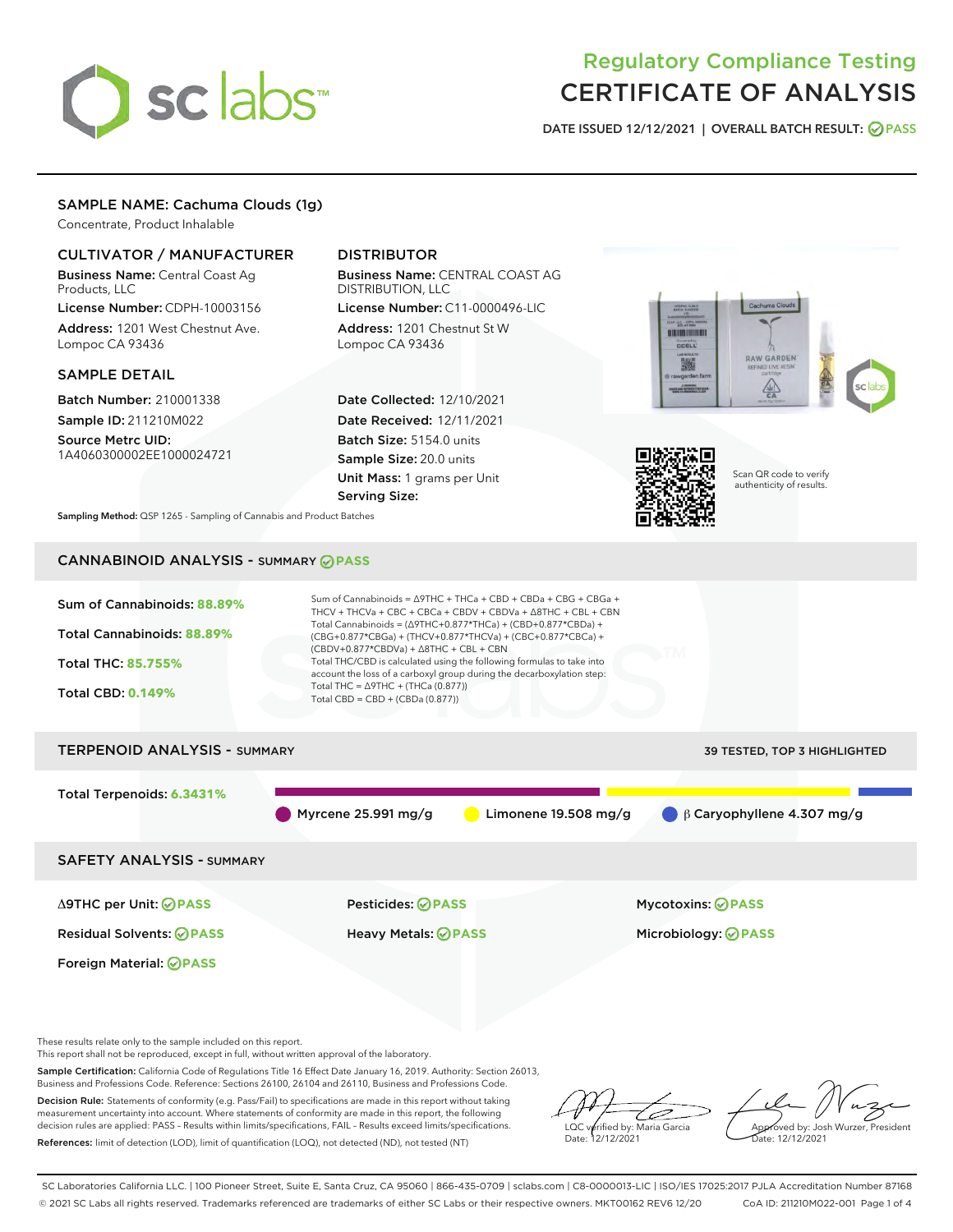# sclabs<sup>\*</sup>

# Regulatory Compliance Testing CERTIFICATE OF ANALYSIS

DATE ISSUED 12/12/2021 | OVERALL BATCH RESULT: @ PASS

# SAMPLE NAME: Cachuma Clouds (1g)

Concentrate, Product Inhalable

## CULTIVATOR / MANUFACTURER

Business Name: Central Coast Ag Products, LLC

License Number: CDPH-10003156 Address: 1201 West Chestnut Ave. Lompoc CA 93436

#### SAMPLE DETAIL

Batch Number: 210001338 Sample ID: 211210M022

Source Metrc UID: 1A4060300002EE1000024721

# DISTRIBUTOR

Business Name: CENTRAL COAST AG DISTRIBUTION, LLC

License Number: C11-0000496-LIC Address: 1201 Chestnut St W Lompoc CA 93436

Date Collected: 12/10/2021 Date Received: 12/11/2021 Batch Size: 5154.0 units Sample Size: 20.0 units Unit Mass: 1 grams per Unit Serving Size:





Scan QR code to verify authenticity of results.

Sampling Method: QSP 1265 - Sampling of Cannabis and Product Batches

# CANNABINOID ANALYSIS - SUMMARY **PASS**



These results relate only to the sample included on this report.

This report shall not be reproduced, except in full, without written approval of the laboratory.

Sample Certification: California Code of Regulations Title 16 Effect Date January 16, 2019. Authority: Section 26013, Business and Professions Code. Reference: Sections 26100, 26104 and 26110, Business and Professions Code.

Decision Rule: Statements of conformity (e.g. Pass/Fail) to specifications are made in this report without taking measurement uncertainty into account. Where statements of conformity are made in this report, the following decision rules are applied: PASS – Results within limits/specifications, FAIL – Results exceed limits/specifications. References: limit of detection (LOD), limit of quantification (LOQ), not detected (ND), not tested (NT)

ىر LQC verified by: Maria Garcia Date: 12/12/2021

Approved by: Josh Wurzer, President ate: 12/12/2021

SC Laboratories California LLC. | 100 Pioneer Street, Suite E, Santa Cruz, CA 95060 | 866-435-0709 | sclabs.com | C8-0000013-LIC | ISO/IES 17025:2017 PJLA Accreditation Number 87168 © 2021 SC Labs all rights reserved. Trademarks referenced are trademarks of either SC Labs or their respective owners. MKT00162 REV6 12/20 CoA ID: 211210M022-001 Page 1 of 4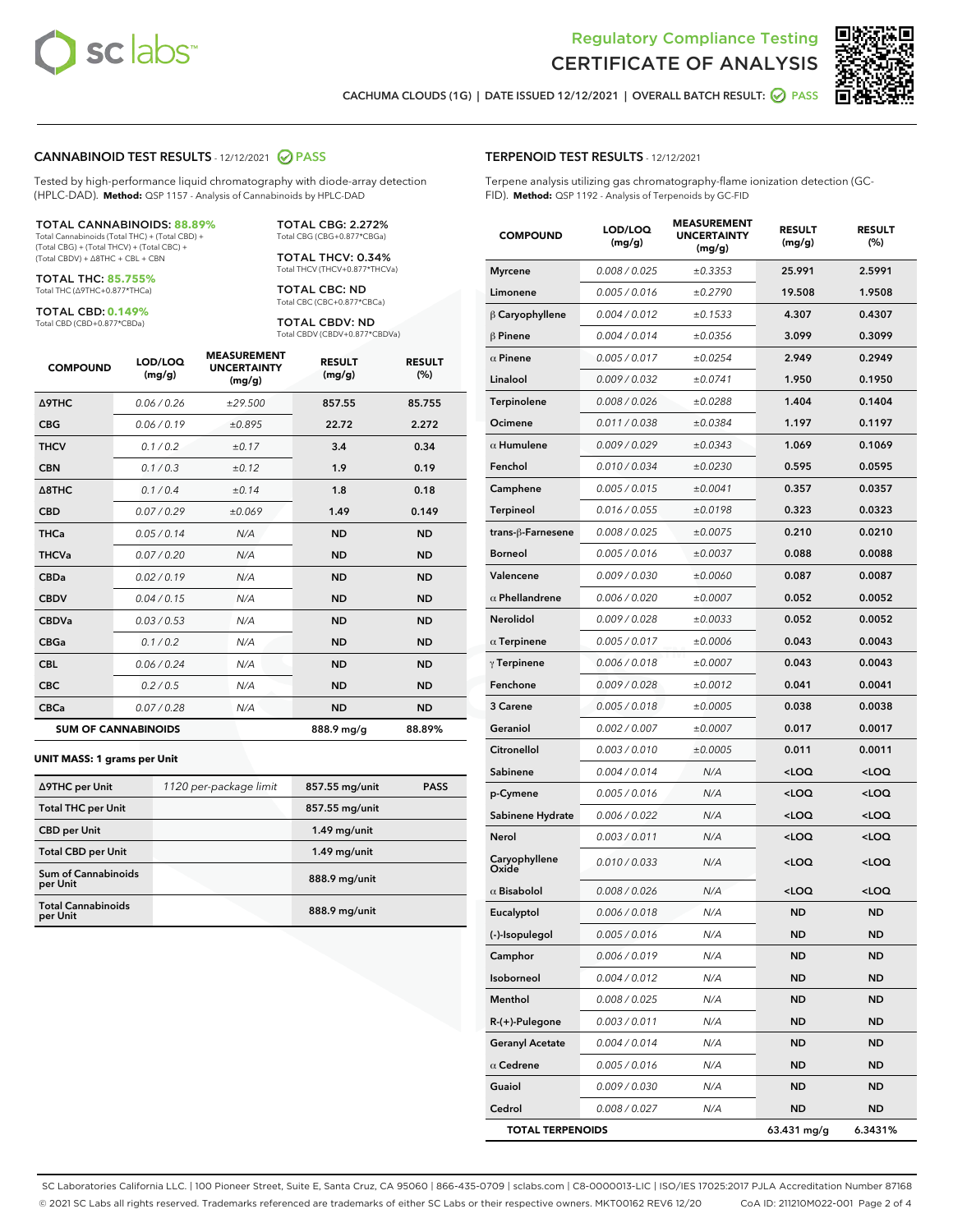



CACHUMA CLOUDS (1G) | DATE ISSUED 12/12/2021 | OVERALL BATCH RESULT: **○** PASS

#### CANNABINOID TEST RESULTS - 12/12/2021 2 PASS

Tested by high-performance liquid chromatography with diode-array detection (HPLC-DAD). **Method:** QSP 1157 - Analysis of Cannabinoids by HPLC-DAD

#### TOTAL CANNABINOIDS: **88.89%**

Total Cannabinoids (Total THC) + (Total CBD) + (Total CBG) + (Total THCV) + (Total CBC) + (Total CBDV) + ∆8THC + CBL + CBN

TOTAL THC: **85.755%** Total THC (∆9THC+0.877\*THCa)

TOTAL CBD: **0.149%**

Total CBD (CBD+0.877\*CBDa)

TOTAL CBG: 2.272% Total CBG (CBG+0.877\*CBGa)

TOTAL THCV: 0.34% Total THCV (THCV+0.877\*THCVa)

TOTAL CBC: ND Total CBC (CBC+0.877\*CBCa)

TOTAL CBDV: ND Total CBDV (CBDV+0.877\*CBDVa)

| <b>COMPOUND</b>            | LOD/LOQ<br>(mg/g) | <b>MEASUREMENT</b><br><b>UNCERTAINTY</b><br>(mg/g) | <b>RESULT</b><br>(mg/g) | <b>RESULT</b><br>(%) |
|----------------------------|-------------------|----------------------------------------------------|-------------------------|----------------------|
| <b>A9THC</b>               | 0.06 / 0.26       | ±29.500                                            | 857.55                  | 85.755               |
| <b>CBG</b>                 | 0.06/0.19         | ±0.895                                             | 22.72                   | 2.272                |
| <b>THCV</b>                | 0.1 / 0.2         | ±0.17                                              | 3.4                     | 0.34                 |
| <b>CBN</b>                 | 0.1/0.3           | ±0.12                                              | 1.9                     | 0.19                 |
| $\triangle$ 8THC           | 0.1 / 0.4         | ±0.14                                              | 1.8                     | 0.18                 |
| <b>CBD</b>                 | 0.07/0.29         | ±0.069                                             | 1.49                    | 0.149                |
| <b>THCa</b>                | 0.05/0.14         | N/A                                                | <b>ND</b>               | <b>ND</b>            |
| <b>THCVa</b>               | 0.07/0.20         | N/A                                                | <b>ND</b>               | <b>ND</b>            |
| <b>CBDa</b>                | 0.02/0.19         | N/A                                                | <b>ND</b>               | <b>ND</b>            |
| <b>CBDV</b>                | 0.04/0.15         | N/A                                                | <b>ND</b>               | <b>ND</b>            |
| <b>CBDVa</b>               | 0.03/0.53         | N/A                                                | <b>ND</b>               | <b>ND</b>            |
| <b>CBGa</b>                | 0.1/0.2           | N/A                                                | <b>ND</b>               | <b>ND</b>            |
| <b>CBL</b>                 | 0.06 / 0.24       | N/A                                                | <b>ND</b>               | <b>ND</b>            |
| <b>CBC</b>                 | 0.2 / 0.5         | N/A                                                | <b>ND</b>               | <b>ND</b>            |
| <b>CBCa</b>                | 0.07 / 0.28       | N/A                                                | <b>ND</b>               | <b>ND</b>            |
| <b>SUM OF CANNABINOIDS</b> |                   |                                                    | 888.9 mg/g              | 88.89%               |

#### **UNIT MASS: 1 grams per Unit**

| ∆9THC per Unit                         | 1120 per-package limit | 857.55 mg/unit | <b>PASS</b> |
|----------------------------------------|------------------------|----------------|-------------|
| <b>Total THC per Unit</b>              |                        | 857.55 mg/unit |             |
| <b>CBD per Unit</b>                    |                        | $1.49$ mg/unit |             |
| <b>Total CBD per Unit</b>              |                        | $1.49$ mg/unit |             |
| <b>Sum of Cannabinoids</b><br>per Unit |                        | 888.9 mg/unit  |             |
| <b>Total Cannabinoids</b><br>per Unit  |                        | 888.9 mg/unit  |             |

| <b>COMPOUND</b>         | LOD/LOQ<br>(mg/g) | <b>MEASUREMENT</b><br><b>UNCERTAINTY</b><br>(mg/g) | <b>RESULT</b><br>(mg/g)                          | <b>RESULT</b><br>(%) |
|-------------------------|-------------------|----------------------------------------------------|--------------------------------------------------|----------------------|
| <b>Myrcene</b>          | 0.008 / 0.025     | ±0.3353                                            | 25.991                                           | 2.5991               |
| Limonene                | 0.005 / 0.016     | ±0.2790                                            | 19.508                                           | 1.9508               |
| $\upbeta$ Caryophyllene | 0.004 / 0.012     | ±0.1533                                            | 4.307                                            | 0.4307               |
| $\beta$ Pinene          | 0.004 / 0.014     | ±0.0356                                            | 3.099                                            | 0.3099               |
| $\alpha$ Pinene         | 0.005 / 0.017     | ±0.0254                                            | 2.949                                            | 0.2949               |
| Linalool                | 0.009 / 0.032     | ±0.0741                                            | 1.950                                            | 0.1950               |
| Terpinolene             | 0.008 / 0.026     | ±0.0288                                            | 1.404                                            | 0.1404               |
| Ocimene                 | 0.011/0.038       | ±0.0384                                            | 1.197                                            | 0.1197               |
| $\alpha$ Humulene       | 0.009 / 0.029     | ±0.0343                                            | 1.069                                            | 0.1069               |
| Fenchol                 | 0.010 / 0.034     | ±0.0230                                            | 0.595                                            | 0.0595               |
| Camphene                | 0.005 / 0.015     | ±0.0041                                            | 0.357                                            | 0.0357               |
| Terpineol               | 0.016 / 0.055     | ±0.0198                                            | 0.323                                            | 0.0323               |
| trans-ß-Farnesene       | 0.008 / 0.025     | ±0.0075                                            | 0.210                                            | 0.0210               |
| <b>Borneol</b>          | 0.005 / 0.016     | ±0.0037                                            | 0.088                                            | 0.0088               |
| Valencene               | 0.009 / 0.030     | ±0.0060                                            | 0.087                                            | 0.0087               |
| $\alpha$ Phellandrene   | 0.006 / 0.020     | ±0.0007                                            | 0.052                                            | 0.0052               |
| Nerolidol               | 0.009 / 0.028     | ±0.0033                                            | 0.052                                            | 0.0052               |
| $\alpha$ Terpinene      | 0.005 / 0.017     | ±0.0006                                            | 0.043                                            | 0.0043               |
| $\gamma$ Terpinene      | 0.006 / 0.018     | ±0.0007                                            | 0.043                                            | 0.0043               |
| Fenchone                | 0.009 / 0.028     | ±0.0012                                            | 0.041                                            | 0.0041               |
| 3 Carene                | 0.005 / 0.018     | ±0.0005                                            | 0.038                                            | 0.0038               |
| Geraniol                | 0.002 / 0.007     | ±0.0007                                            | 0.017                                            | 0.0017               |
| Citronellol             | 0.003 / 0.010     | ±0.0005                                            | 0.011                                            | 0.0011               |
| Sabinene                | 0.004 / 0.014     | N/A                                                | <loq< th=""><th><loq< th=""></loq<></th></loq<>  | <loq< th=""></loq<>  |
| p-Cymene                | 0.005 / 0.016     | N/A                                                | <loq< th=""><th><math>&lt;</math>LOQ</th></loq<> | $<$ LOQ              |
| Sabinene Hydrate        | 0.006 / 0.022     | N/A                                                | 100                                              | <loq< th=""></loq<>  |
| Nerol                   | 0.003 / 0.011     | N/A                                                | <loq< th=""><th><loq< th=""></loq<></th></loq<>  | <loq< th=""></loq<>  |
| Caryophyllene<br>Oxide  | 0.010 / 0.033     | N/A                                                | <loq< th=""><th><loq< th=""></loq<></th></loq<>  | <loq< th=""></loq<>  |
| $\alpha$ Bisabolol      | 0.008 / 0.026     | N/A                                                | $<$ LOQ                                          | <loq< th=""></loq<>  |
| Eucalyptol              | 0.006 / 0.018     | N/A                                                | <b>ND</b>                                        | ND                   |
| (-)-Isopulegol          | 0.005 / 0.016     | N/A                                                | ND                                               | ND                   |
| Camphor                 | 0.006 / 0.019     | N/A                                                | ND                                               | ND                   |
| Isoborneol              | 0.004 / 0.012     | N/A                                                | ND                                               | ND                   |
| Menthol                 | 0.008 / 0.025     | N/A                                                | ND                                               | ND                   |
| R-(+)-Pulegone          | 0.003 / 0.011     | N/A                                                | ND                                               | ND                   |
| <b>Geranyl Acetate</b>  | 0.004 / 0.014     | N/A                                                | ND                                               | ND                   |
| $\alpha$ Cedrene        | 0.005 / 0.016     | N/A                                                | ND                                               | ND                   |
| Guaiol                  | 0.009 / 0.030     | N/A                                                | ND                                               | ND                   |
| Cedrol                  | 0.008 / 0.027     | N/A                                                | ND                                               | ND                   |
| <b>TOTAL TERPENOIDS</b> |                   |                                                    | 63.431 mg/g                                      | 6.3431%              |

SC Laboratories California LLC. | 100 Pioneer Street, Suite E, Santa Cruz, CA 95060 | 866-435-0709 | sclabs.com | C8-0000013-LIC | ISO/IES 17025:2017 PJLA Accreditation Number 87168 © 2021 SC Labs all rights reserved. Trademarks referenced are trademarks of either SC Labs or their respective owners. MKT00162 REV6 12/20 CoA ID: 211210M022-001 Page 2 of 4

# TERPENOID TEST RESULTS - 12/12/2021

Terpene analysis utilizing gas chromatography-flame ionization detection (GC-FID). **Method:** QSP 1192 - Analysis of Terpenoids by GC-FID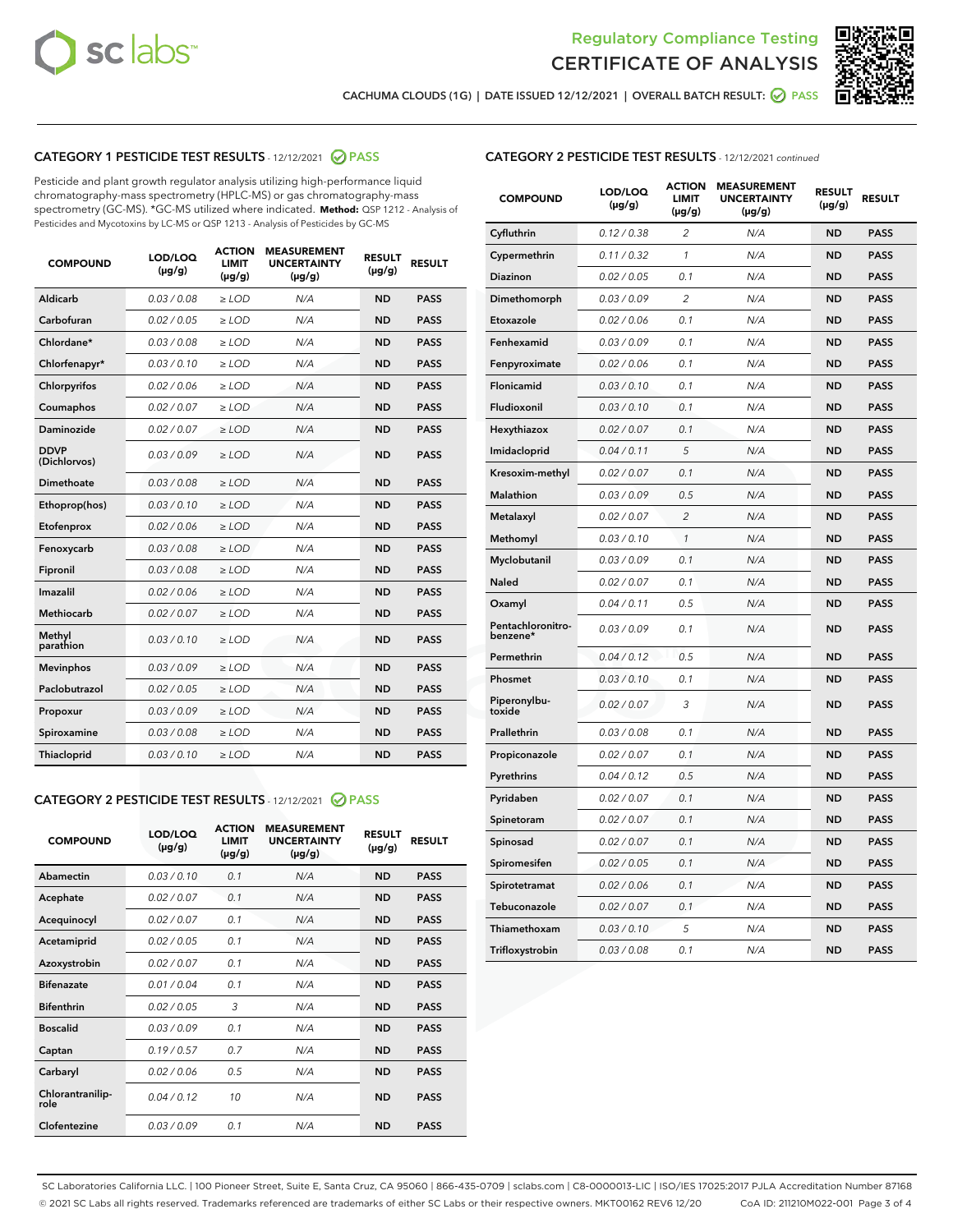



CACHUMA CLOUDS (1G) | DATE ISSUED 12/12/2021 | OVERALL BATCH RESULT: ☑ PASS

# CATEGORY 1 PESTICIDE TEST RESULTS - 12/12/2021 2 PASS

Pesticide and plant growth regulator analysis utilizing high-performance liquid chromatography-mass spectrometry (HPLC-MS) or gas chromatography-mass spectrometry (GC-MS). \*GC-MS utilized where indicated. **Method:** QSP 1212 - Analysis of Pesticides and Mycotoxins by LC-MS or QSP 1213 - Analysis of Pesticides by GC-MS

| <b>COMPOUND</b>             | LOD/LOQ<br>$(\mu g/g)$ | <b>ACTION</b><br>LIMIT<br>$(\mu g/g)$ | <b>MEASUREMENT</b><br><b>UNCERTAINTY</b><br>$(\mu g/g)$ | <b>RESULT</b><br>$(\mu g/g)$ | <b>RESULT</b> |
|-----------------------------|------------------------|---------------------------------------|---------------------------------------------------------|------------------------------|---------------|
| Aldicarb                    | 0.03 / 0.08            | $\geq$ LOD                            | N/A                                                     | <b>ND</b>                    | <b>PASS</b>   |
| Carbofuran                  | 0.02 / 0.05            | $>$ LOD                               | N/A                                                     | <b>ND</b>                    | <b>PASS</b>   |
| Chlordane*                  | 0.03 / 0.08            | ≥ LOD                                 | N/A                                                     | <b>ND</b>                    | <b>PASS</b>   |
| Chlorfenapyr*               | 0.03/0.10              | ≥ LOD                                 | N/A                                                     | <b>ND</b>                    | <b>PASS</b>   |
| Chlorpyrifos                | 0.02 / 0.06            | $\geq$ LOD                            | N/A                                                     | <b>ND</b>                    | <b>PASS</b>   |
| Coumaphos                   | 0.02 / 0.07            | ≥ LOD                                 | N/A                                                     | <b>ND</b>                    | <b>PASS</b>   |
| Daminozide                  | 0.02 / 0.07            | $\geq$ LOD                            | N/A                                                     | <b>ND</b>                    | <b>PASS</b>   |
| <b>DDVP</b><br>(Dichlorvos) | 0.03/0.09              | $\geq$ LOD                            | N/A                                                     | <b>ND</b>                    | <b>PASS</b>   |
| Dimethoate                  | 0.03 / 0.08            | $\ge$ LOD                             | N/A                                                     | <b>ND</b>                    | <b>PASS</b>   |
| Ethoprop(hos)               | 0.03/0.10              | $>$ LOD                               | N/A                                                     | <b>ND</b>                    | <b>PASS</b>   |
| Etofenprox                  | 0.02 / 0.06            | $>$ LOD                               | N/A                                                     | <b>ND</b>                    | <b>PASS</b>   |
| Fenoxycarb                  | 0.03/0.08              | $\geq$ LOD                            | N/A                                                     | <b>ND</b>                    | <b>PASS</b>   |
| Fipronil                    | 0.03/0.08              | $\geq$ LOD                            | N/A                                                     | <b>ND</b>                    | <b>PASS</b>   |
| Imazalil                    | 0.02 / 0.06            | $\geq$ LOD                            | N/A                                                     | <b>ND</b>                    | <b>PASS</b>   |
| <b>Methiocarb</b>           | 0.02 / 0.07            | ≥ LOD                                 | N/A                                                     | <b>ND</b>                    | <b>PASS</b>   |
| Methyl<br>parathion         | 0.03/0.10              | $\geq$ LOD                            | N/A                                                     | <b>ND</b>                    | <b>PASS</b>   |
| <b>Mevinphos</b>            | 0.03/0.09              | $\geq$ LOD                            | N/A                                                     | <b>ND</b>                    | <b>PASS</b>   |
| Paclobutrazol               | 0.02 / 0.05            | $\geq$ LOD                            | N/A                                                     | <b>ND</b>                    | <b>PASS</b>   |
| Propoxur                    | 0.03/0.09              | ≥ LOD                                 | N/A                                                     | <b>ND</b>                    | <b>PASS</b>   |
| Spiroxamine                 | 0.03 / 0.08            | $\ge$ LOD                             | N/A                                                     | <b>ND</b>                    | <b>PASS</b>   |
| <b>Thiacloprid</b>          | 0.03/0.10              | $\geq$ LOD                            | N/A                                                     | <b>ND</b>                    | <b>PASS</b>   |
|                             |                        |                                       |                                                         |                              |               |

# CATEGORY 2 PESTICIDE TEST RESULTS - 12/12/2021 @ PASS

| <b>COMPOUND</b>          | LOD/LOO<br>$(\mu g/g)$ | <b>ACTION</b><br>LIMIT<br>$(\mu g/g)$ | <b>MEASUREMENT</b><br><b>UNCERTAINTY</b><br>$(\mu g/g)$ | <b>RESULT</b><br>$(\mu g/g)$ | <b>RESULT</b> |  |
|--------------------------|------------------------|---------------------------------------|---------------------------------------------------------|------------------------------|---------------|--|
| Abamectin                | 0.03/0.10              | 0.1                                   | N/A                                                     | <b>ND</b>                    | <b>PASS</b>   |  |
| Acephate                 | 0.02/0.07              | 0.1                                   | N/A                                                     | <b>ND</b>                    | <b>PASS</b>   |  |
| Acequinocyl              | 0.02/0.07              | 0.1                                   | N/A                                                     | <b>ND</b>                    | <b>PASS</b>   |  |
| Acetamiprid              | 0.02/0.05              | 0.1                                   | N/A                                                     | <b>ND</b>                    | <b>PASS</b>   |  |
| Azoxystrobin             | 0.02/0.07              | 0.1                                   | N/A                                                     | <b>ND</b>                    | <b>PASS</b>   |  |
| <b>Bifenazate</b>        | 0.01/0.04              | 0.1                                   | N/A                                                     | <b>ND</b>                    | <b>PASS</b>   |  |
| <b>Bifenthrin</b>        | 0.02/0.05              | 3                                     | N/A                                                     | <b>ND</b>                    | <b>PASS</b>   |  |
| <b>Boscalid</b>          | 0.03/0.09              | 0.1                                   | N/A                                                     | <b>ND</b>                    | <b>PASS</b>   |  |
| Captan                   | 0.19/0.57              | 0.7                                   | N/A                                                     | <b>ND</b>                    | <b>PASS</b>   |  |
| Carbaryl                 | 0.02/0.06              | 0.5                                   | N/A                                                     | <b>ND</b>                    | <b>PASS</b>   |  |
| Chlorantranilip-<br>role | 0.04/0.12              | 10                                    | N/A                                                     | <b>ND</b>                    | <b>PASS</b>   |  |
| Clofentezine             | 0.03/0.09              | 0.1                                   | N/A                                                     | <b>ND</b>                    | <b>PASS</b>   |  |

| <b>CATEGORY 2 PESTICIDE TEST RESULTS</b> - 12/12/2021 continued |
|-----------------------------------------------------------------|
|-----------------------------------------------------------------|

| <b>COMPOUND</b>               | LOD/LOQ<br>(µg/g) | <b>ACTION</b><br><b>LIMIT</b><br>$(\mu g/g)$ | <b>MEASUREMENT</b><br><b>UNCERTAINTY</b><br>$(\mu g/g)$ | <b>RESULT</b><br>(µg/g) | <b>RESULT</b> |
|-------------------------------|-------------------|----------------------------------------------|---------------------------------------------------------|-------------------------|---------------|
| Cyfluthrin                    | 0.12 / 0.38       | 2                                            | N/A                                                     | ND                      | <b>PASS</b>   |
| Cypermethrin                  | 0.11 / 0.32       | $\mathbf{1}$                                 | N/A                                                     | <b>ND</b>               | <b>PASS</b>   |
| Diazinon                      | 0.02 / 0.05       | 0.1                                          | N/A                                                     | <b>ND</b>               | <b>PASS</b>   |
| Dimethomorph                  | 0.03 / 0.09       | 2                                            | N/A                                                     | ND                      | <b>PASS</b>   |
| Etoxazole                     | 0.02 / 0.06       | 0.1                                          | N/A                                                     | <b>ND</b>               | <b>PASS</b>   |
| Fenhexamid                    | 0.03 / 0.09       | 0.1                                          | N/A                                                     | <b>ND</b>               | <b>PASS</b>   |
| Fenpyroximate                 | 0.02 / 0.06       | 0.1                                          | N/A                                                     | ND                      | <b>PASS</b>   |
| Flonicamid                    | 0.03 / 0.10       | 0.1                                          | N/A                                                     | <b>ND</b>               | <b>PASS</b>   |
| Fludioxonil                   | 0.03 / 0.10       | 0.1                                          | N/A                                                     | <b>ND</b>               | <b>PASS</b>   |
| Hexythiazox                   | 0.02 / 0.07       | 0.1                                          | N/A                                                     | <b>ND</b>               | <b>PASS</b>   |
| Imidacloprid                  | 0.04 / 0.11       | 5                                            | N/A                                                     | <b>ND</b>               | <b>PASS</b>   |
| Kresoxim-methyl               | 0.02 / 0.07       | 0.1                                          | N/A                                                     | <b>ND</b>               | <b>PASS</b>   |
| Malathion                     | 0.03 / 0.09       | 0.5                                          | N/A                                                     | <b>ND</b>               | <b>PASS</b>   |
| Metalaxyl                     | 0.02 / 0.07       | $\overline{2}$                               | N/A                                                     | <b>ND</b>               | <b>PASS</b>   |
| Methomyl                      | 0.03 / 0.10       | $\mathcal{I}$                                | N/A                                                     | <b>ND</b>               | <b>PASS</b>   |
| Myclobutanil                  | 0.03 / 0.09       | 0.1                                          | N/A                                                     | <b>ND</b>               | <b>PASS</b>   |
| Naled                         | 0.02 / 0.07       | 0.1                                          | N/A                                                     | ND                      | <b>PASS</b>   |
| Oxamyl                        | 0.04 / 0.11       | 0.5                                          | N/A                                                     | <b>ND</b>               | <b>PASS</b>   |
| Pentachloronitro-<br>benzene* | 0.03/0.09         | 0.1                                          | N/A                                                     | <b>ND</b>               | <b>PASS</b>   |
| Permethrin                    | 0.04 / 0.12       | 0.5                                          | N/A                                                     | <b>ND</b>               | <b>PASS</b>   |
| Phosmet                       | 0.03 / 0.10       | 0.1                                          | N/A                                                     | <b>ND</b>               | <b>PASS</b>   |
| Piperonylbu-<br>toxide        | 0.02 / 0.07       | 3                                            | N/A                                                     | ND                      | <b>PASS</b>   |
| Prallethrin                   | 0.03 / 0.08       | 0.1                                          | N/A                                                     | <b>ND</b>               | <b>PASS</b>   |
| Propiconazole                 | 0.02 / 0.07       | 0.1                                          | N/A                                                     | <b>ND</b>               | <b>PASS</b>   |
| Pyrethrins                    | 0.04 / 0.12       | 0.5                                          | N/A                                                     | <b>ND</b>               | <b>PASS</b>   |
| Pyridaben                     | 0.02 / 0.07       | 0.1                                          | N/A                                                     | <b>ND</b>               | <b>PASS</b>   |
| Spinetoram                    | 0.02 / 0.07       | 0.1                                          | N/A                                                     | ND                      | <b>PASS</b>   |
| Spinosad                      | 0.02 / 0.07       | 0.1                                          | N/A                                                     | <b>ND</b>               | <b>PASS</b>   |
| Spiromesifen                  | 0.02 / 0.05       | 0.1                                          | N/A                                                     | ND                      | <b>PASS</b>   |
| Spirotetramat                 | 0.02 / 0.06       | 0.1                                          | N/A                                                     | <b>ND</b>               | <b>PASS</b>   |
| Tebuconazole                  | 0.02 / 0.07       | 0.1                                          | N/A                                                     | <b>ND</b>               | <b>PASS</b>   |
| Thiamethoxam                  | 0.03 / 0.10       | 5                                            | N/A                                                     | ND                      | <b>PASS</b>   |
| Trifloxystrobin               | 0.03 / 0.08       | 0.1                                          | N/A                                                     | <b>ND</b>               | <b>PASS</b>   |

SC Laboratories California LLC. | 100 Pioneer Street, Suite E, Santa Cruz, CA 95060 | 866-435-0709 | sclabs.com | C8-0000013-LIC | ISO/IES 17025:2017 PJLA Accreditation Number 87168 © 2021 SC Labs all rights reserved. Trademarks referenced are trademarks of either SC Labs or their respective owners. MKT00162 REV6 12/20 CoA ID: 211210M022-001 Page 3 of 4